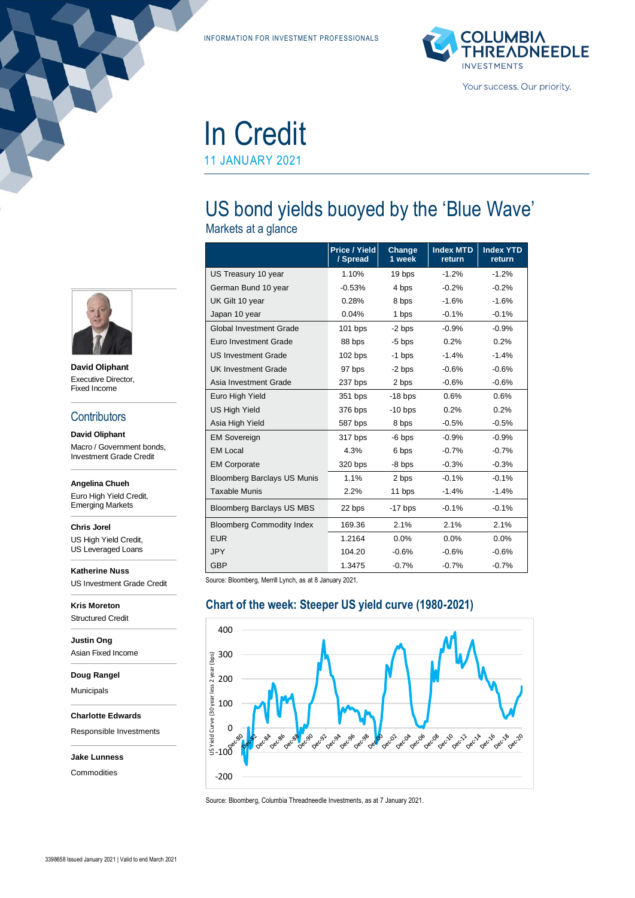INFORMATION FOR INVESTMENT PROFESSIONALS



In Credit

11 JANUARY 2021

# US bond yields buoyed by the 'Blue Wave'

Markets at a glance

|                                    | <b>Price / Yield</b><br>/ Spread | Change<br>1 week | <b>Index MTD</b><br>return | <b>Index YTD</b><br>return |
|------------------------------------|----------------------------------|------------------|----------------------------|----------------------------|
| US Treasury 10 year                | 1.10%                            | 19 bps           | $-1.2%$                    | $-1.2%$                    |
| German Bund 10 year                | $-0.53%$                         | 4 bps            | $-0.2%$                    | $-0.2%$                    |
| UK Gilt 10 year                    | 0.28%                            | 8 bps            | $-1.6%$                    | $-1.6%$                    |
| Japan 10 year                      | 0.04%                            | 1 bps            | $-0.1%$                    | $-0.1%$                    |
| Global Investment Grade            | $101$ bps                        | $-2$ bps         | $-0.9%$                    | $-0.9%$                    |
| Euro Investment Grade              | 88 bps                           | $-5$ bps         | 0.2%                       | 0.2%                       |
| <b>US Investment Grade</b>         | $102$ bps                        | $-1$ bps         | $-1.4%$                    | $-1.4%$                    |
| <b>UK Investment Grade</b>         | 97 bps                           | $-2$ bps         | $-0.6%$                    | $-0.6%$                    |
| Asia Investment Grade              | 237 bps                          | 2 bps            | $-0.6%$                    | $-0.6%$                    |
| Euro High Yield                    | 351 bps                          | $-18$ bps        | 0.6%                       | 0.6%                       |
| <b>US High Yield</b>               | 376 bps                          | $-10$ bps        | 0.2%                       | 0.2%                       |
| Asia High Yield                    | 587 bps                          | 8 bps            | $-0.5%$                    | $-0.5%$                    |
| <b>EM Sovereign</b>                | 317 bps                          | $-6$ bps         | $-0.9%$                    | $-0.9%$                    |
| <b>EM Local</b>                    | 4.3%                             | 6 bps            | $-0.7%$                    | $-0.7%$                    |
| <b>EM Corporate</b>                | 320 bps                          | -8 bps           | $-0.3%$                    | $-0.3%$                    |
| <b>Bloomberg Barclays US Munis</b> | 1.1%                             | 2 bps            | $-0.1%$                    | $-0.1%$                    |
| <b>Taxable Munis</b>               | 2.2%                             | 11 bps           | $-1.4%$                    | $-1.4%$                    |
| <b>Bloomberg Barclays US MBS</b>   | 22 bps                           | $-17$ bps        | $-0.1%$                    | $-0.1%$                    |
| <b>Bloomberg Commodity Index</b>   | 169.36                           | 2.1%             | 2.1%                       | 2.1%                       |
| <b>EUR</b>                         | 1.2164                           | 0.0%             | 0.0%                       | 0.0%                       |
| <b>JPY</b>                         | 104.20                           | $-0.6%$          | $-0.6%$                    | $-0.6%$                    |
| <b>GBP</b>                         | 1.3475                           | $-0.7%$          | $-0.7%$                    | $-0.7%$                    |

Source: Bloomberg, Merrill Lynch, as at 8 January 2021.

#### **Chart of the week: Steeper US yield curve (1980-2021)**



Source: Bloomberg, Columbia Threadneedle Investments, as at 7 January 2021.



**David Oliphant** Executive Director, Fixed Income

#### **Contributors**

**David Oliphant** Macro / Government bonds, Investment Grade Credit

#### **Angelina Chueh**

Euro High Yield Credit, Emerging Markets

**Chris Jorel** US High Yield Credit, US Leveraged Loans

**Katherine Nuss**

US Investment Grade Credit

**Kris Moreton** Structured Credit

**Justin Ong** Asian Fixed Income

**Doug Rangel**

Municipals

**Charlotte Edwards**

Responsible Investments

#### **Jake Lunness**

**Commodities**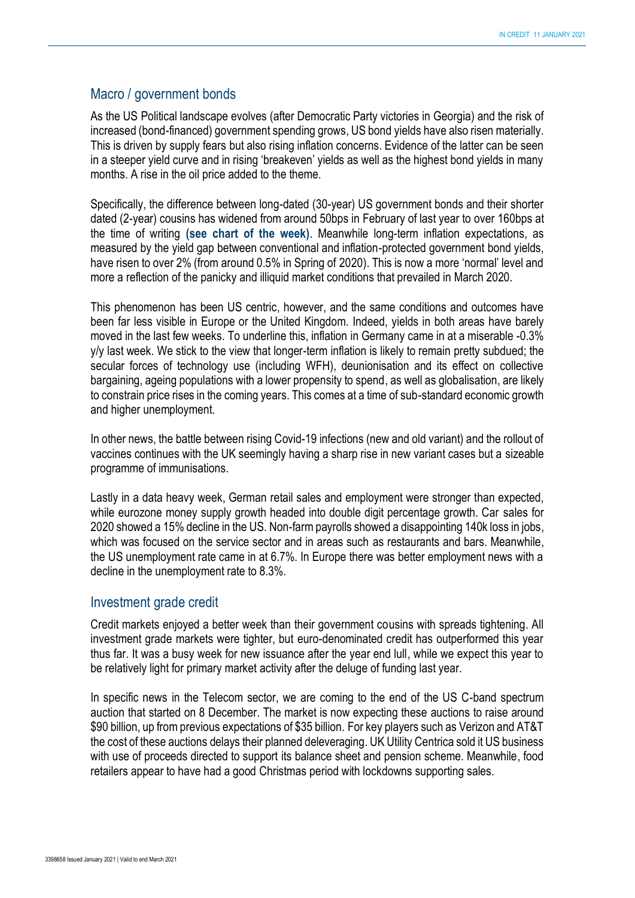#### Macro / government bonds

As the US Political landscape evolves (after Democratic Party victories in Georgia) and the risk of increased (bond-financed) government spending grows, US bond yields have also risen materially. This is driven by supply fears but also rising inflation concerns. Evidence of the latter can be seen in a steeper yield curve and in rising 'breakeven' yields as well as the highest bond yields in many months. A rise in the oil price added to the theme.

Specifically, the difference between long-dated (30-year) US government bonds and their shorter dated (2-year) cousins has widened from around 50bps in February of last year to over 160bps at the time of writing **(see chart of the week)**. Meanwhile long-term inflation expectations, as measured by the yield gap between conventional and inflation-protected government bond yields, have risen to over 2% (from around 0.5% in Spring of 2020). This is now a more 'normal' level and more a reflection of the panicky and illiquid market conditions that prevailed in March 2020.

This phenomenon has been US centric, however, and the same conditions and outcomes have been far less visible in Europe or the United Kingdom. Indeed, yields in both areas have barely moved in the last few weeks. To underline this, inflation in Germany came in at a miserable -0.3% y/y last week. We stick to the view that longer-term inflation is likely to remain pretty subdued; the secular forces of technology use (including WFH), deunionisation and its effect on collective bargaining, ageing populations with a lower propensity to spend, as well as globalisation, are likely to constrain price rises in the coming years. This comes at a time of sub-standard economic growth and higher unemployment.

In other news, the battle between rising Covid-19 infections (new and old variant) and the rollout of vaccines continues with the UK seemingly having a sharp rise in new variant cases but a sizeable programme of immunisations.

Lastly in a data heavy week, German retail sales and employment were stronger than expected, while eurozone money supply growth headed into double digit percentage growth. Car sales for 2020 showed a 15% decline in the US. Non-farm payrolls showed a disappointing 140k loss in jobs, which was focused on the service sector and in areas such as restaurants and bars. Meanwhile, the US unemployment rate came in at 6.7%. In Europe there was better employment news with a decline in the unemployment rate to 8.3%.

#### Investment grade credit

Credit markets enjoyed a better week than their government cousins with spreads tightening. All investment grade markets were tighter, but euro-denominated credit has outperformed this year thus far. It was a busy week for new issuance after the year end lull, while we expect this year to be relatively light for primary market activity after the deluge of funding last year.

In specific news in the Telecom sector, we are coming to the end of the US C-band spectrum auction that started on 8 December. The market is now expecting these auctions to raise around \$90 billion, up from previous expectations of \$35 billion. For key players such as Verizon and AT&T the cost of these auctions delays their planned deleveraging. UK Utility Centrica sold it US business with use of proceeds directed to support its balance sheet and pension scheme. Meanwhile, food retailers appear to have had a good Christmas period with lockdowns supporting sales.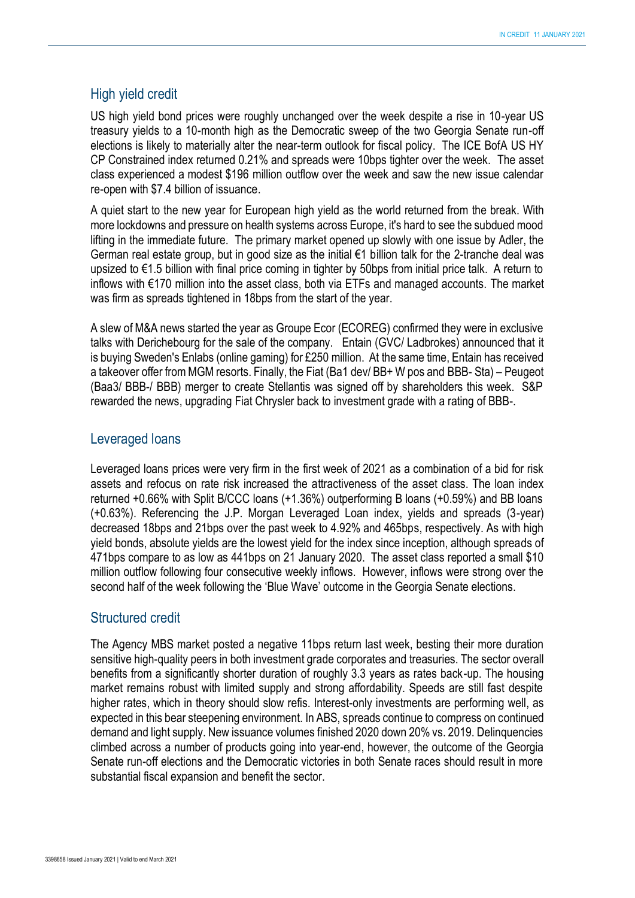## High yield credit

US high yield bond prices were roughly unchanged over the week despite a rise in 10-year US treasury yields to a 10-month high as the Democratic sweep of the two Georgia Senate run-off elections is likely to materially alter the near-term outlook for fiscal policy. The ICE BofA US HY CP Constrained index returned 0.21% and spreads were 10bps tighter over the week. The asset class experienced a modest \$196 million outflow over the week and saw the new issue calendar re-open with \$7.4 billion of issuance.

A quiet start to the new year for European high yield as the world returned from the break. With more lockdowns and pressure on health systems across Europe, it's hard to see the subdued mood lifting in the immediate future. The primary market opened up slowly with one issue by Adler, the German real estate group, but in good size as the initial €1 billion talk for the 2-tranche deal was upsized to €1.5 billion with final price coming in tighter by 50bps from initial price talk. A return to inflows with €170 million into the asset class, both via ETFs and managed accounts. The market was firm as spreads tightened in 18bps from the start of the year.

A slew of M&A news started the year as Groupe Ecor (ECOREG) confirmed they were in exclusive talks with Derichebourg for the sale of the company. Entain (GVC/ Ladbrokes) announced that it is buying Sweden's Enlabs (online gaming) for £250 million. At the same time, Entain has received a takeover offer from MGM resorts. Finally, the Fiat (Ba1 dev/ BB+ W pos and BBB- Sta) – Peugeot (Baa3/ BBB-/ BBB) merger to create Stellantis was signed off by shareholders this week. S&P rewarded the news, upgrading Fiat Chrysler back to investment grade with a rating of BBB-.

## Leveraged loans

Leveraged loans prices were very firm in the first week of 2021 as a combination of a bid for risk assets and refocus on rate risk increased the attractiveness of the asset class. The loan index returned +0.66% with Split B/CCC loans (+1.36%) outperforming B loans (+0.59%) and BB loans (+0.63%). Referencing the J.P. Morgan Leveraged Loan index, yields and spreads (3-year) decreased 18bps and 21bps over the past week to 4.92% and 465bps, respectively. As with high yield bonds, absolute yields are the lowest yield for the index since inception, although spreads of 471bps compare to as low as 441bps on 21 January 2020. The asset class reported a small \$10 million outflow following four consecutive weekly inflows. However, inflows were strong over the second half of the week following the 'Blue Wave' outcome in the Georgia Senate elections.

#### Structured credit

The Agency MBS market posted a negative 11bps return last week, besting their more duration sensitive high-quality peers in both investment grade corporates and treasuries. The sector overall benefits from a significantly shorter duration of roughly 3.3 years as rates back-up. The housing market remains robust with limited supply and strong affordability. Speeds are still fast despite higher rates, which in theory should slow refis. Interest-only investments are performing well, as expected in this bear steepening environment. In ABS, spreads continue to compress on continued demand and light supply. New issuance volumes finished 2020 down 20% vs. 2019. Delinquencies climbed across a number of products going into year-end, however, the outcome of the Georgia Senate run-off elections and the Democratic victories in both Senate races should result in more substantial fiscal expansion and benefit the sector.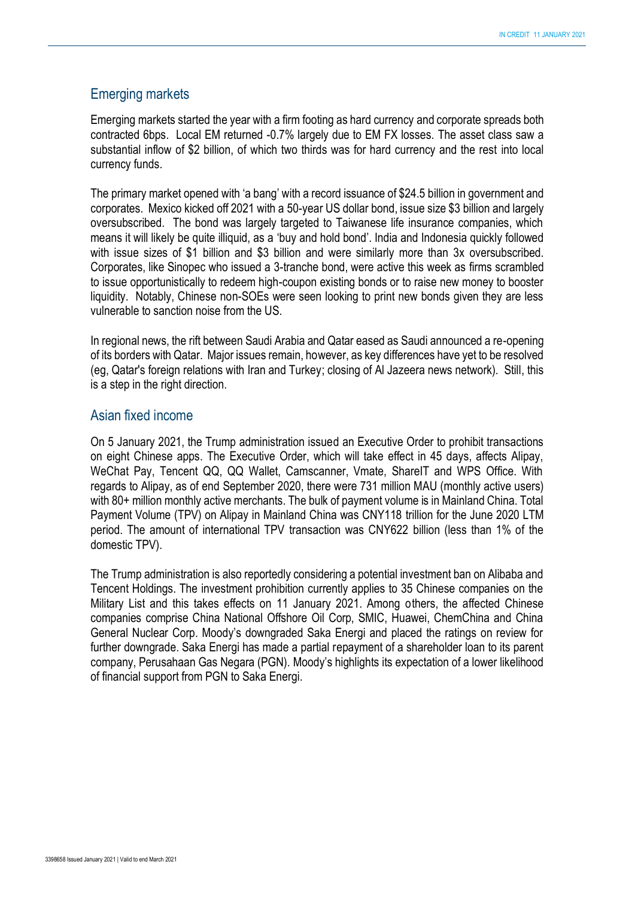#### Emerging markets

Emerging markets started the year with a firm footing as hard currency and corporate spreads both contracted 6bps. Local EM returned -0.7% largely due to EM FX losses. The asset class saw a substantial inflow of \$2 billion, of which two thirds was for hard currency and the rest into local currency funds.

The primary market opened with 'a bang' with a record issuance of \$24.5 billion in government and corporates. Mexico kicked off 2021 with a 50-year US dollar bond, issue size \$3 billion and largely oversubscribed. The bond was largely targeted to Taiwanese life insurance companies, which means it will likely be quite illiquid, as a 'buy and hold bond'. India and Indonesia quickly followed with issue sizes of \$1 billion and \$3 billion and were similarly more than 3x oversubscribed. Corporates, like Sinopec who issued a 3-tranche bond, were active this week as firms scrambled to issue opportunistically to redeem high-coupon existing bonds or to raise new money to booster liquidity. Notably, Chinese non-SOEs were seen looking to print new bonds given they are less vulnerable to sanction noise from the US.

In regional news, the rift between Saudi Arabia and Qatar eased as Saudi announced a re-opening of its borders with Qatar. Major issues remain, however, as key differences have yet to be resolved (eg, Qatar's foreign relations with Iran and Turkey; closing of Al Jazeera news network). Still, this is a step in the right direction.

#### Asian fixed income

On 5 January 2021, the Trump administration issued an Executive Order to prohibit transactions on eight Chinese apps. The Executive Order, which will take effect in 45 days, affects Alipay, WeChat Pay, Tencent QQ, QQ Wallet, Camscanner, Vmate, ShareIT and WPS Office. With regards to Alipay, as of end September 2020, there were 731 million MAU (monthly active users) with 80+ million monthly active merchants. The bulk of payment volume is in Mainland China. Total Payment Volume (TPV) on Alipay in Mainland China was CNY118 trillion for the June 2020 LTM period. The amount of international TPV transaction was CNY622 billion (less than 1% of the domestic TPV).

The Trump administration is also reportedly considering a potential investment ban on Alibaba and Tencent Holdings. The investment prohibition currently applies to 35 Chinese companies on the Military List and this takes effects on 11 January 2021. Among others, the affected Chinese companies comprise China National Offshore Oil Corp, SMIC, Huawei, ChemChina and China General Nuclear Corp. Moody's downgraded Saka Energi and placed the ratings on review for further downgrade. Saka Energi has made a partial repayment of a shareholder loan to its parent company, Perusahaan Gas Negara (PGN). Moody's highlights its expectation of a lower likelihood of financial support from PGN to Saka Energi.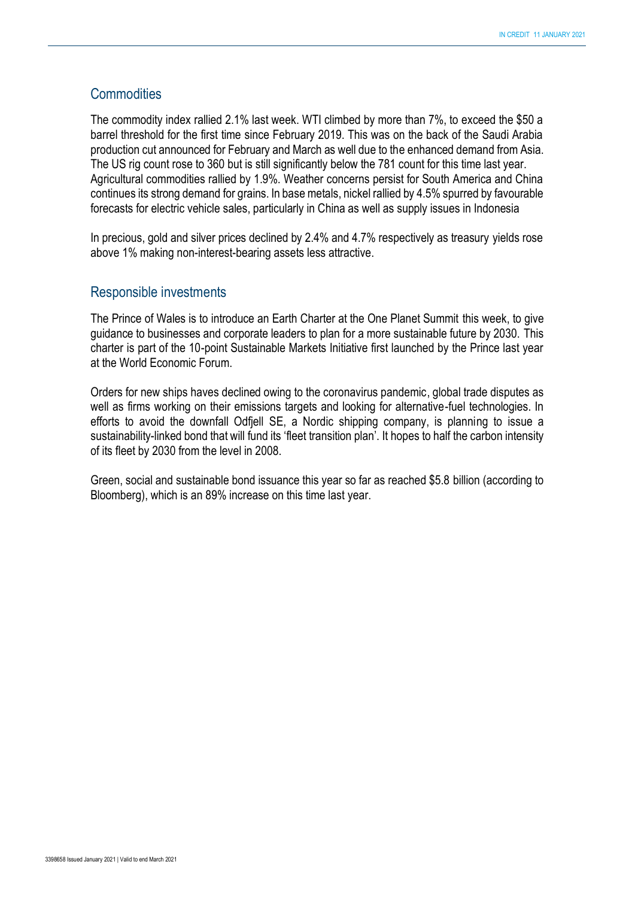#### **Commodities**

The commodity index rallied 2.1% last week. WTI climbed by more than 7%, to exceed the \$50 a barrel threshold for the first time since February 2019. This was on the back of the Saudi Arabia production cut announced for February and March as well due to the enhanced demand from Asia. The US rig count rose to 360 but is still significantly below the 781 count for this time last year. Agricultural commodities rallied by 1.9%. Weather concerns persist for South America and China continues its strong demand for grains. In base metals, nickel rallied by 4.5% spurred by favourable forecasts for electric vehicle sales, particularly in China as well as supply issues in Indonesia

In precious, gold and silver prices declined by 2.4% and 4.7% respectively as treasury yields rose above 1% making non-interest-bearing assets less attractive.

#### Responsible investments

The Prince of Wales is to introduce an Earth Charter at the One Planet Summit this week, to give guidance to businesses and corporate leaders to plan for a more sustainable future by 2030. This charter is part of the 10-point Sustainable Markets Initiative first launched by the Prince last year at the World Economic Forum.

Orders for new ships haves declined owing to the coronavirus pandemic, global trade disputes as well as firms working on their emissions targets and looking for alternative-fuel technologies. In efforts to avoid the downfall Odfjell SE, a Nordic shipping company, is planning to issue a sustainability-linked bond that will fund its 'fleet transition plan'. It hopes to half the carbon intensity of its fleet by 2030 from the level in 2008.

Green, social and sustainable bond issuance this year so far as reached \$5.8 billion (according to Bloomberg), which is an 89% increase on this time last year.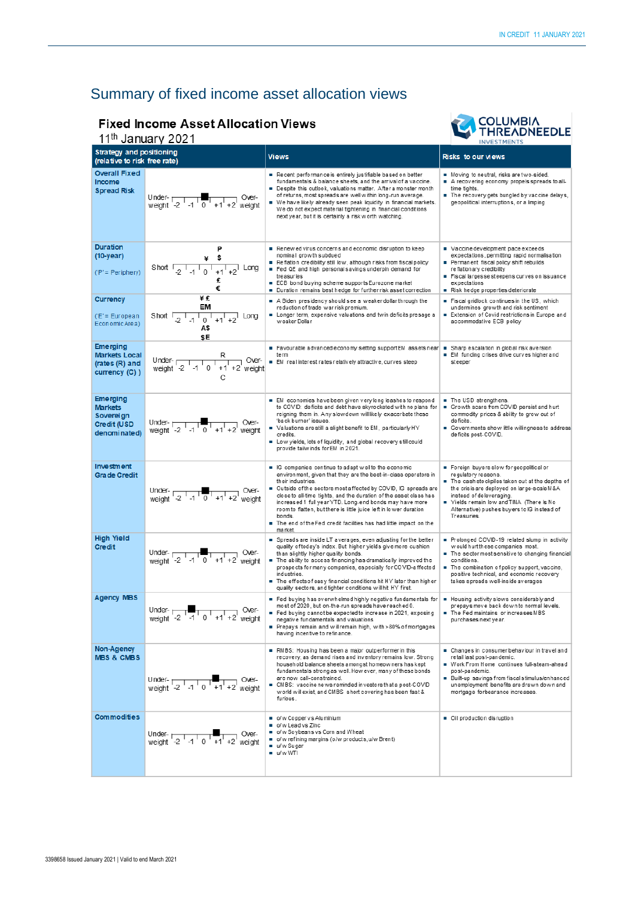## Summary of fixed income asset allocation views

### **Fixed Income Asset Allocation Views**



| THREADNEEDLE<br>11 <sup>th</sup> January 2021<br><b>INVESTMENTS</b>                         |                                                                                                                |                                                                                                                                                                                                                                                                                                                                                                                                                                                                                                                |                                                                                                                                                                                                                                                                                                    |  |  |
|---------------------------------------------------------------------------------------------|----------------------------------------------------------------------------------------------------------------|----------------------------------------------------------------------------------------------------------------------------------------------------------------------------------------------------------------------------------------------------------------------------------------------------------------------------------------------------------------------------------------------------------------------------------------------------------------------------------------------------------------|----------------------------------------------------------------------------------------------------------------------------------------------------------------------------------------------------------------------------------------------------------------------------------------------------|--|--|
| <b>Strategy and positioning</b><br>(relative to risk free rate)                             |                                                                                                                | <b>Views</b>                                                                                                                                                                                                                                                                                                                                                                                                                                                                                                   | Risks to our views                                                                                                                                                                                                                                                                                 |  |  |
| <b>Overall Fixed</b><br>Income<br><b>Spread Risk</b>                                        | Under- $\frac{1}{2}$ -1 0 +1 +2 weight                                                                         | Recent performance is entirely justifiable based on better<br>fundamentals & balance sheets, and the arrival of a vaccine.<br>Despite this outlook, valuations matter. After a monster month<br>of returns, most spreads are well within long-run average.<br>■ We have likely already seen peak liquidity in financial markets.<br>We do not expect material tightening in financial conditions<br>next year, but it is certainly a risk worth watching.                                                      | Moving to neutral, risks are two-sided.<br>A recovering economy propels spreads to all-<br>time tights.<br>The recovery gets bungled by vaccine delays,<br>geopolitical interruptions, or a limping                                                                                                |  |  |
| <b>Duration</b><br>$(10-year)$<br>$('P' = Periphery)$                                       | P<br>\$<br>¥<br>Short $\sqrt{2}$ -1 0<br>$+1$ <sup>+2</sup> Long<br>£<br>€                                     | Renewed virus concerns and economic disruption to keep<br>nominal growth subdued<br>Reflation credibility still low, although risks from fiscal policy<br>Fed QE and high personal savings underpin demand for<br>treasuries<br>ECB bond buying scheme supports Eurozone market<br>Duration remains best hedge for further risk asset correction                                                                                                                                                               | Vaccine development pace exceeds<br>expectations, permitting rapid normalisation<br>Permanent fiscal policy shift rebuilds<br>re flation ary credibility<br>Fiscal largesse steepens curves on issuance<br>expectations<br>Risk hedge properties deteriorate                                       |  |  |
| Currency<br>$E' = European$<br>Economic Area)                                               | ¥£<br>EM<br>Short $\frac{1}{2}$ -1 $\frac{1}{0}$ +1 +2 Long<br>A\$<br>\$E                                      | A Biden presidency should see a weaker dollar through the<br>reduction of trade war risk premium.<br>Longer term, expensive valuations and twin deficits presage a<br>w eaker Dollar                                                                                                                                                                                                                                                                                                                           | Fiscal gridlock continues in the US, which<br>undermines growth and risk sentiment<br>Extension of Covid restrictions in Europe and<br>accommodative ECB policy                                                                                                                                    |  |  |
| <b>Emerging</b><br><b>Markets Local</b><br>(rates (R) and<br>currency (C))                  | Under- $R$<br>weight $-2$ $-1$ $0$ $+1$ $+2$ weight                                                            | Favourable advanced economy setting support EM assets near<br>te rm<br>EM real interest rates relatively attractive, curves steep                                                                                                                                                                                                                                                                                                                                                                              | Sharp escalation in global risk aversion<br>EM funding crises drive curves higher and<br>steeper                                                                                                                                                                                                   |  |  |
| <b>Emerging</b><br><b>Markets</b><br><b>Sovereign</b><br><b>Credit (USD</b><br>denominated) | Under- $\frac{1}{2}$ -1 0 +1 +2 weight                                                                         | EM economies have been given very long leashes to respond<br>to COVID: de ficits and debt have skyrocketed with no plans for<br>reigning them in. Any slowdown will likely exacerbate these<br>'back burner' issues.<br>Valuations are still a slight benefit to EM, particularly HY<br>credits.<br>Low yields, lots of liquidity, and global recovery still could<br>provide tailwinds for EM in 2021.                                                                                                        | ■ The USD strengthens.<br>Growth scars from COVID persist and hurt<br>a.<br>commodity prices & ability to grow out of<br>de ficits.<br>Governments show little willingness to address<br>de ficits post-COVID.                                                                                     |  |  |
| <b>Investment</b><br><b>Grade Credit</b>                                                    | Under-<br>weight $-2$ $-1$ $\overline{0}$ $+1$ $+2$ weight                                                     | ■ IG companies continue to adapt well to the economic<br>environment, given that they are the best-in-class operators in<br>their industries.<br>Outside of the sectors most a ffected by COVID, IG spreads are<br>close to all-time tights, and the duration of the asset class has<br>increased 1 full year YTD. Long-end bonds may have more<br>room to flatten, but there is little juice left in lower duration<br>bonds.<br>The end of the Fed credit facilities has had little impact on the<br>market. | Foreign buyers slow forgeopolitical or<br>requiatory reasons.<br>The cash stockpiles taken out at the depths of<br>the crisis are deployed on large-scale M&A<br>instead of deleveraging.<br>Yields remain low and TINA (There Is No<br>Alternative) pushes buyers to IG instead of<br>Treasuries. |  |  |
| <b>High Yield</b><br><b>Credit</b>                                                          | Under-<br>weight $-2$ $-1$ $0$ $+1$ $+2$ weight                                                                | Spreads are inside LT averages, even adjusting for the better<br>quality of today's index. But higher yields give more cushion<br>than slightly higher quality bonds.<br>The ability to access financing has dramatically improved the<br>prospects for many companies, especially for COVID-affected<br>industries.<br>■ The effects of easy financial conditions hit HY later than higher<br>quality sectors, and tighter conditions will hit HY first.                                                      | Prolonged COVID-19 related slump in activity<br>would hurt these companies most.<br>The sector most sensitive to changing financial<br>conditions<br>The combination of policy support, vaccine,<br>positive technical, and economic recovery<br>takes spreads well-inside averages                |  |  |
| <b>Agency MBS</b>                                                                           | Under-<br>weight -2 -1 0 +1 +2 weight                                                                          | Fed buying has overwhelmed highly negative fundamentals for<br>most of 2020, but on-the-run spreads have reached 0.<br>Fed buying cannot be expected to increase in 2021, exposing<br>negative fundamentals and valuations<br>Prepays remain and will remain high, with >80% of mortgages<br>having incentive to refinance.                                                                                                                                                                                    | Housing activity slows considerably and<br>prepays move back down to normal levels.<br>■ The Fed maintains or increases MBS<br>purchases next year.                                                                                                                                                |  |  |
| Non-Agency<br><b>MBS &amp; CMBS</b>                                                         | Under- $\frac{1}{2}$ -1 0 +1 +2 weight                                                                         | RMBS: Housing has been a major outperformer in this<br>recovery, as demand rises and inventory remains low. Strong<br>household balance sheets amongst homeowners has kept<br>fundamentals strong as well. However, many of these bonds<br>are now call-constrained.<br>■ CMBS: vaccine news reminded in vestors that a post-COVID<br>world will exist, and CMBS short covering has been fast &<br>furious.                                                                                                    | ■ Changes in consumer behaviour in travel and<br>retail last post-pandemic.<br>■ Work From Home continues full-steam-ahead<br>post-pandemic.<br>Built-up savings from fiscal stimulus/enhanced<br>unemployment benefits are drawn down and<br>mortgage forbearance increases.                      |  |  |
| <b>Commodities</b>                                                                          | Under- $\begin{array}{ c c c c c }\n\hline\n\text{weight} & -2 & -1 & 0 & +1 & +2 \text{ weight}\n\end{array}$ | ■ o/w Copper vs Aluminium<br>o/w Lead vs Zinc<br>o/w Soybeans vs Corn and Wheat<br>o/w refining margins (o/w products, u/w Brent)<br>u/w Sugar<br>u/wWT1                                                                                                                                                                                                                                                                                                                                                       | Oil production disruption                                                                                                                                                                                                                                                                          |  |  |